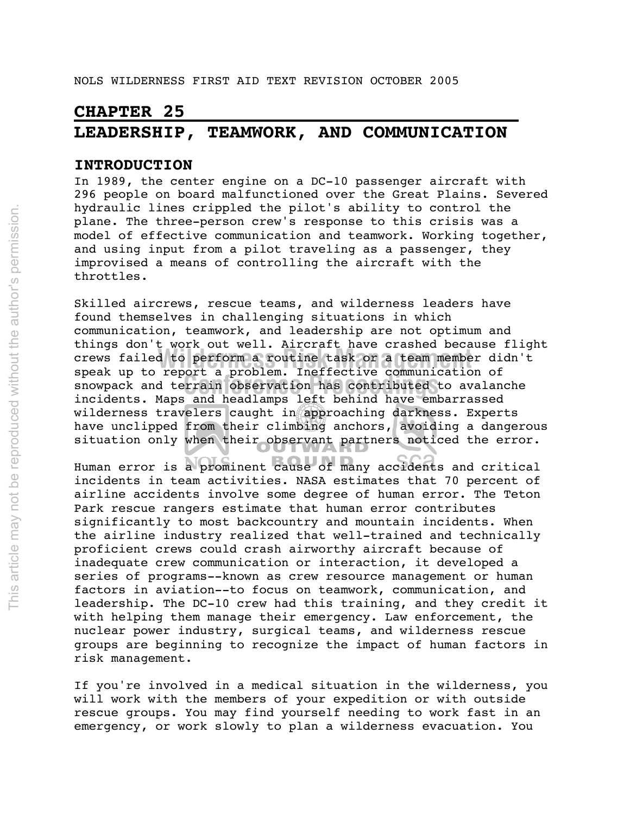# **CHAPTER 25**

# **LEADERSHIP, TEAMWORK, AND COMMUNICATION**

### **INTRODUCTION**

In 1989, the center engine on a DC-10 passenger aircraft with 296 people on board malfunctioned over the Great Plains. Severed hydraulic lines crippled the pilot's ability to control the plane. The three-person crew's response to this crisis was a model of effective communication and teamwork. Working together, and using input from a pilot traveling as a passenger, they improvised a means of controlling the aircraft with the throttles.

speak up to report a problem: incritetive communication of<br>snowpack and terrain observation has contributed to avalanche<br>incidents, Mans and beadlanns left behind have embarrassed energe went ween the measurement and team member didn't<br>crews failed to perform a routine task or a team member didn't<br>speak up to report a problem. Ineffective communication of Skilled aircrews, rescue teams, and wilderness leaders have found themselves in challenging situations in which communication, teamwork, and leadership are not optimum and things don't work out well. Aircraft have crashed because flight speak up to report a problem. Ineffective communication of incidents. Maps and headlamps left behind have embarrassed wilderness travelers caught in approaching darkness. Experts have unclipped from their climbing anchors, avoiding a dangerous situation only when their observant partners noticed the error.

Human error is a prominent cause of many accidents and critical incidents in team activities. NASA estimates that 70 percent of airline accidents involve some degree of human error. The Teton Park rescue rangers estimate that human error contributes significantly to most backcountry and mountain incidents. When the airline industry realized that well-trained and technically proficient crews could crash airworthy aircraft because of inadequate crew communication or interaction, it developed a series of programs--known as crew resource management or human factors in aviation--to focus on teamwork, communication, and leadership. The DC-10 crew had this training, and they credit it with helping them manage their emergency. Law enforcement, the nuclear power industry, surgical teams, and wilderness rescue groups are beginning to recognize the impact of human factors in risk management.

If you're involved in a medical situation in the wilderness, you will work with the members of your expedition or with outside rescue groups. You may find yourself needing to work fast in an emergency, or work slowly to plan a wilderness evacuation. You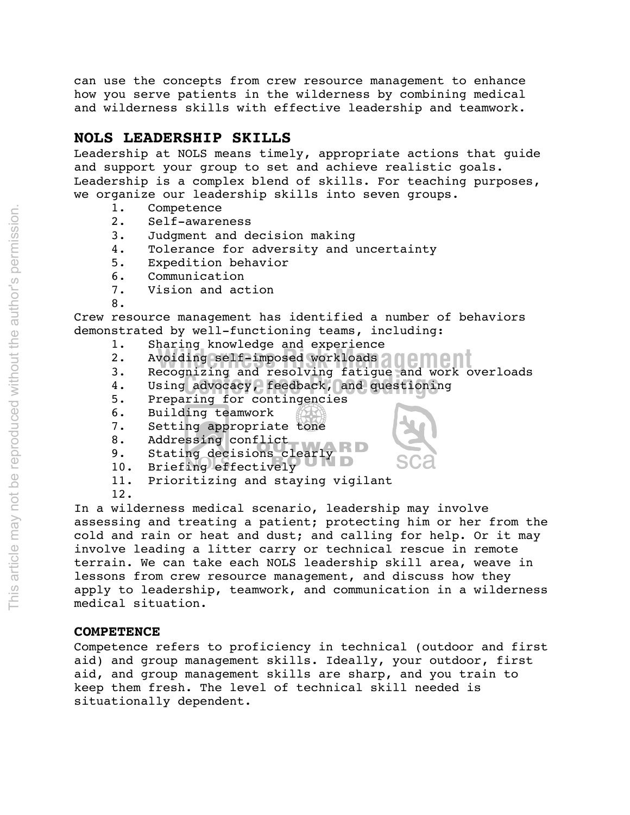can use the concepts from crew resource management to enhance how you serve patients in the wilderness by combining medical and wilderness skills with effective leadership and teamwork.

## **NOLS LEADERSHIP SKILLS**

Leadership at NOLS means timely, appropriate actions that guide and support your group to set and achieve realistic goals. Leadership is a complex blend of skills. For teaching purposes, we organize our leadership skills into seven groups.

- 1. Competence<br>2. Self-aware
- 2. Self-awareness
- 3. Judgment and decision making
- 4. Tolerance for adversity and uncertainty
- 5. Expedition behavior
- 6. Communication
- 7. Vision and action
- 8.

Crew resource management has identified a number of behaviors demonstrated by well-functioning teams, including:

- 1. Sharing knowledge and experience
- 2. Avoiding self-imposed workloads<br>
Recognizing and resolving fatigue and work C
- 3. Recognizing and resolving fatigue and work overloads
- **Conference Proceedings** and the Proceedings of the Proceeding<br>
From Proceeding for contingencies
- 5. Preparing for contingencies
- 6. Building teamwork
- 7. Setting appropriate tone
- 8. Addressing conflict
- **RD** 9. Stating decisions clearly
- 10. Briefing effectively
- 11. Prioritizing and staying vigilant
- 12.

In a wilderness medical scenario, leadership may involve assessing and treating a patient; protecting him or her from the cold and rain or heat and dust; and calling for help. Or it may involve leading a litter carry or technical rescue in remote terrain. We can take each NOLS leadership skill area, weave in lessons from crew resource management, and discuss how they apply to leadership, teamwork, and communication in a wilderness medical situation.

## **COMPETENCE**

Competence refers to proficiency in technical (outdoor and first aid) and group management skills. Ideally, your outdoor, first aid, and group management skills are sharp, and you train to keep them fresh. The level of technical skill needed is situationally dependent.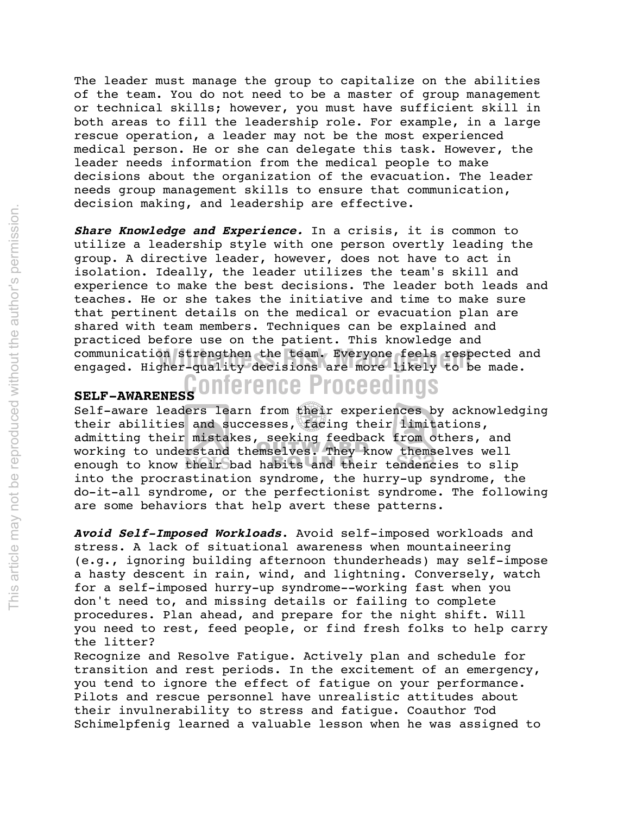The leader must manage the group to capitalize on the abilities of the team. You do not need to be a master of group management or technical skills; however, you must have sufficient skill in both areas to fill the leadership role. For example, in a large rescue operation, a leader may not be the most experienced medical person. He or she can delegate this task. However, the leader needs information from the medical people to make decisions about the organization of the evacuation. The leader needs group management skills to ensure that communication, decision making, and leadership are effective.

communication strengthen the team. Everyone feels respected a<br>engaged. Higher-quality decisions are more likely to be made. **Share Knowledge and Experience.** In a crisis, it is common to utilize a leadership style with one person overtly leading the group. A directive leader, however, does not have to act in isolation. Ideally, the leader utilizes the team's skill and experience to make the best decisions. The leader both leads and teaches. He or she takes the initiative and time to make sure that pertinent details on the medical or evacuation plan are shared with team members. Techniques can be explained and practiced before use on the patient. This knowledge and communication strengthen the team. Everyone feels respected and

# **Conference Proceedings SELF-AWARENESS**

Self-aware leaders learn from their experiences by acknowledging their abilities and successes, facing their limitations, admitting their mistakes, seeking feedback from others, and working to understand themselves. They know themselves well enough to know their bad habits and their tendencies to slip into the procrastination syndrome, the hurry-up syndrome, the do-it-all syndrome, or the perfectionist syndrome. The following are some behaviors that help avert these patterns.

**Avoid Self-Imposed Workloads**. Avoid self-imposed workloads and stress. A lack of situational awareness when mountaineering (e.g., ignoring building afternoon thunderheads) may self-impose a hasty descent in rain, wind, and lightning. Conversely, watch for a self-imposed hurry-up syndrome--working fast when you don't need to, and missing details or failing to complete procedures. Plan ahead, and prepare for the night shift. Will you need to rest, feed people, or find fresh folks to help carry the litter?

Recognize and Resolve Fatigue. Actively plan and schedule for transition and rest periods. In the excitement of an emergency, you tend to ignore the effect of fatigue on your performance. Pilots and rescue personnel have unrealistic attitudes about their invulnerability to stress and fatigue. Coauthor Tod Schimelpfenig learned a valuable lesson when he was assigned to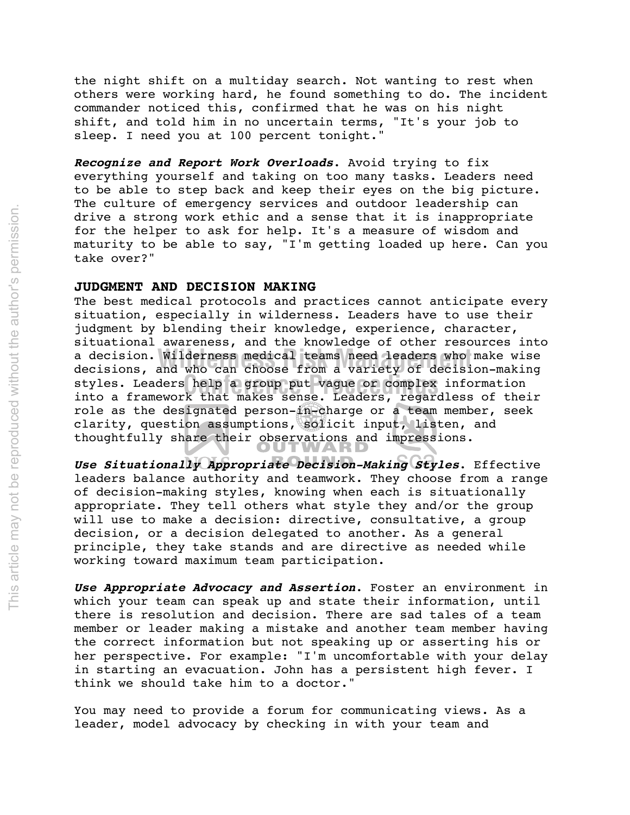the night shift on a multiday search. Not wanting to rest when others were working hard, he found something to do. The incident commander noticed this, confirmed that he was on his night shift, and told him in no uncertain terms, "It's your job to sleep. I need you at 100 percent tonight."

**Recognize and Report Work Overloads**. Avoid trying to fix everything yourself and taking on too many tasks. Leaders need to be able to step back and keep their eyes on the big picture. The culture of emergency services and outdoor leadership can drive a strong work ethic and a sense that it is inappropriate for the helper to ask for help. It's a measure of wisdom and maturity to be able to say, "I'm getting loaded up here. Can you take over?"

#### **JUDGMENT AND DECISION MAKING**

styles. Leaders help a group put vague or complex information<br>into a framework that makes sense. Leaders, regardless of thei a decision. Wilderness medical teams need leaders who make wise<br>decisions, and who can choose from a variety of decision-making The best medical protocols and practices cannot anticipate every situation, especially in wilderness. Leaders have to use their judgment by blending their knowledge, experience, character, situational awareness, and the knowledge of other resources into decisions, and who can choose from a variety of decision-making into a framework that makes sense. Leaders, regardless of their role as the designated person-in-charge or a team member, seek clarity, question assumptions, solicit input, listen, and thoughtfully share their observations and impressions.

**Use Situationally Appropriate Decision-Making Styles**. Effective leaders balance authority and teamwork. They choose from a range of decision-making styles, knowing when each is situationally appropriate. They tell others what style they and/or the group will use to make a decision: directive, consultative, a group decision, or a decision delegated to another. As a general principle, they take stands and are directive as needed while working toward maximum team participation.

**Use Appropriate Advocacy and Assertion**. Foster an environment in which your team can speak up and state their information, until there is resolution and decision. There are sad tales of a team member or leader making a mistake and another team member having the correct information but not speaking up or asserting his or her perspective. For example: "I'm uncomfortable with your delay in starting an evacuation. John has a persistent high fever. I think we should take him to a doctor."

You may need to provide a forum for communicating views. As a leader, model advocacy by checking in with your team and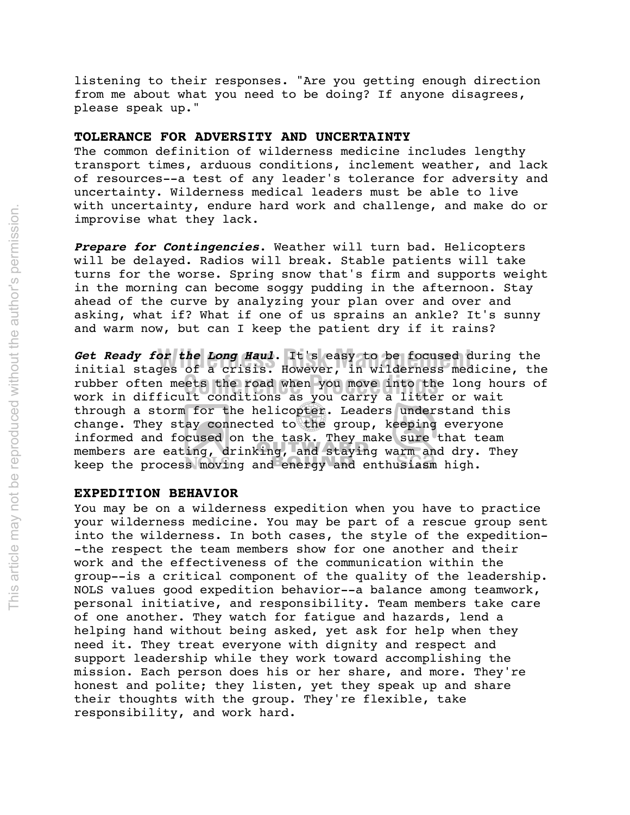listening to their responses. "Are you getting enough direction from me about what you need to be doing? If anyone disagrees, please speak up."

### **TOLERANCE FOR ADVERSITY AND UNCERTAINTY**

The common definition of wilderness medicine includes lengthy transport times, arduous conditions, inclement weather, and lack of resources--a test of any leader's tolerance for adversity and uncertainty. Wilderness medical leaders must be able to live with uncertainty, endure hard work and challenge, and make do or improvise what they lack.

**Prepare for Contingencies**. Weather will turn bad. Helicopters will be delayed. Radios will break. Stable patients will take turns for the worse. Spring snow that's firm and supports weight in the morning can become soggy pudding in the afternoon. Stay ahead of the curve by analyzing your plan over and over and asking, what if? What if one of us sprains an ankle? It's sunny and warm now, but can I keep the patient dry if it rains?

rubber often meets the road when you move into the long hours of<br>work in difficult conditions as you carry a litter or wait Get Ready for the Long Haul. It's easy to be focused during the<br>initial stages of a crisis. However, in wilderness medicine, the **Get Ready for the Long Haul**. It's easy to be focused during the work in difficult conditions as you carry a litter or wait through a storm for the helicopter. Leaders understand this change. They stay connected to the group, keeping everyone informed and focused on the task. They make sure that team members are eating, drinking, and staying warm and dry. They keep the process moving and energy and enthusiasm high.

#### **EXPEDITION BEHAVIOR**

You may be on a wilderness expedition when you have to practice your wilderness medicine. You may be part of a rescue group sent into the wilderness. In both cases, the style of the expedition- -the respect the team members show for one another and their work and the effectiveness of the communication within the group--is a critical component of the quality of the leadership. NOLS values good expedition behavior--a balance among teamwork, personal initiative, and responsibility. Team members take care of one another. They watch for fatigue and hazards, lend a helping hand without being asked, yet ask for help when they need it. They treat everyone with dignity and respect and support leadership while they work toward accomplishing the mission. Each person does his or her share, and more. They're honest and polite; they listen, yet they speak up and share their thoughts with the group. They're flexible, take responsibility, and work hard.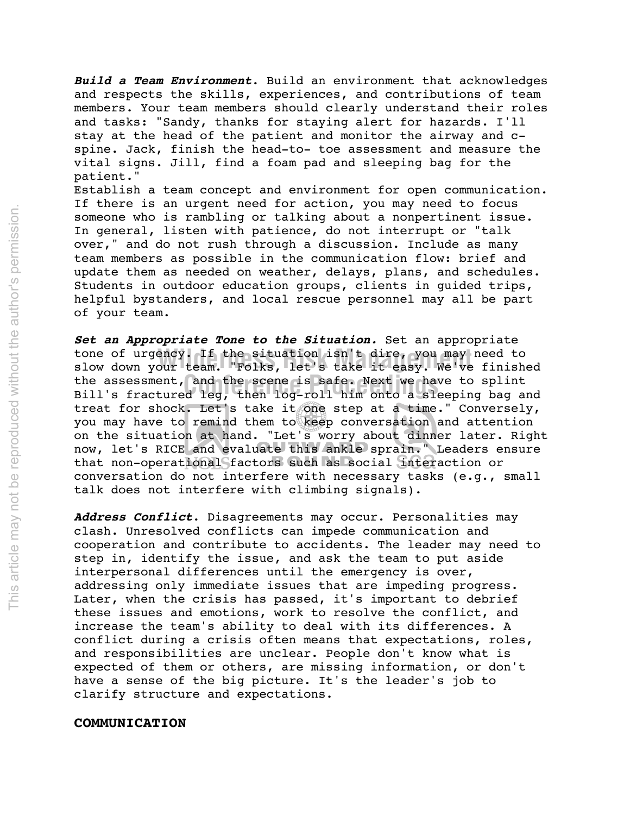**Build a Team Environment**. Build an environment that acknowledges and respects the skills, experiences, and contributions of team members. Your team members should clearly understand their roles and tasks: "Sandy, thanks for staying alert for hazards. I'll stay at the head of the patient and monitor the airway and cspine. Jack, finish the head-to- toe assessment and measure the vital signs. Jill, find a foam pad and sleeping bag for the patient."

Establish a team concept and environment for open communication. If there is an urgent need for action, you may need to focus someone who is rambling or talking about a nonpertinent issue. In general, listen with patience, do not interrupt or "talk over," and do not rush through a discussion. Include as many team members as possible in the communication flow: brief and update them as needed on weather, delays, plans, and schedules. Students in outdoor education groups, clients in guided trips, helpful bystanders, and local rescue personnel may all be part of your team.

the assessment, and the scene is safe. Next we have to splint<br>Bill's fractured leg, then log-roll him onto a sleeping bag and tone of urgency. If the situation isn't dire, you may need to<br>slow down your team. "Folks, let's take it easy. We've finished **Set an Appropriate Tone to the Situation.** Set an appropriate tone of urgency. If the situation isn't dire, you may need to the assessment, and the scene is safe. Next we have to splint treat for shock. Let's take it one step at a time." Conversely, you may have to remind them to keep conversation and attention on the situation at hand. "Let's worry about dinner later. Right now, let's RICE and evaluate this ankle sprain." Leaders ensure that non-operational factors such as social interaction or conversation do not interfere with necessary tasks (e.g., small talk does not interfere with climbing signals).

**Address Conflict**. Disagreements may occur. Personalities may clash. Unresolved conflicts can impede communication and cooperation and contribute to accidents. The leader may need to step in, identify the issue, and ask the team to put aside interpersonal differences until the emergency is over, addressing only immediate issues that are impeding progress. Later, when the crisis has passed, it's important to debrief these issues and emotions, work to resolve the conflict, and increase the team's ability to deal with its differences. A conflict during a crisis often means that expectations, roles, and responsibilities are unclear. People don't know what is expected of them or others, are missing information, or don't have a sense of the big picture. It's the leader's job to clarify structure and expectations.

#### **COMMUNICATION**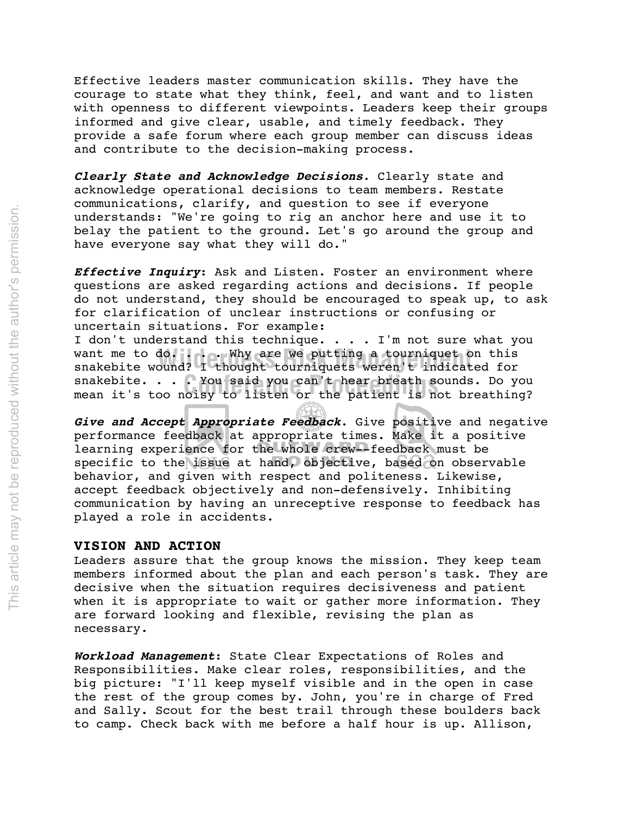Effective leaders master communication skills. They have the courage to state what they think, feel, and want and to listen with openness to different viewpoints. Leaders keep their groups informed and give clear, usable, and timely feedback. They provide a safe forum where each group member can discuss ideas and contribute to the decision-making process.

**Clearly State and Acknowledge Decisions**. Clearly state and acknowledge operational decisions to team members. Restate communications, clarify, and question to see if everyone understands: "We're going to rig an anchor here and use it to belay the patient to the ground. Let's go around the group and have everyone say what they will do."

**Effective Inquiry**: Ask and Listen. Foster an environment where questions are asked regarding actions and decisions. If people do not understand, they should be encouraged to speak up, to ask for clarification of unclear instructions or confusing or uncertain situations. For example:

snakebite. . . . You said you can't hear breath sounds. Do you<br>mean it's too noisy to listen or the patient is not breathing? want me to do. . . . . Why are we putting a tourniquet on this<br>snakebite wound? I thought tourniquets weren't indicated for I don't understand this technique. . . . I'm not sure what you snakebite wound? I thought tourniquets weren't indicated for mean it's too noisy to listen or the patient is not breathing?

**Give and Accept Appropriate Feedback**. Give positive and negative performance feedback at appropriate times. Make it a positive learning experience for the whole crew--feedback must be specific to the issue at hand, objective, based on observable behavior, and given with respect and politeness. Likewise, accept feedback objectively and non-defensively. Inhibiting communication by having an unreceptive response to feedback has played a role in accidents.

#### **VISION AND ACTION**

Leaders assure that the group knows the mission. They keep team members informed about the plan and each person's task. They are decisive when the situation requires decisiveness and patient when it is appropriate to wait or gather more information. They are forward looking and flexible, revising the plan as necessary.

**Workload Management**: State Clear Expectations of Roles and Responsibilities. Make clear roles, responsibilities, and the big picture: "I'll keep myself visible and in the open in case the rest of the group comes by. John, you're in charge of Fred and Sally. Scout for the best trail through these boulders back to camp. Check back with me before a half hour is up. Allison,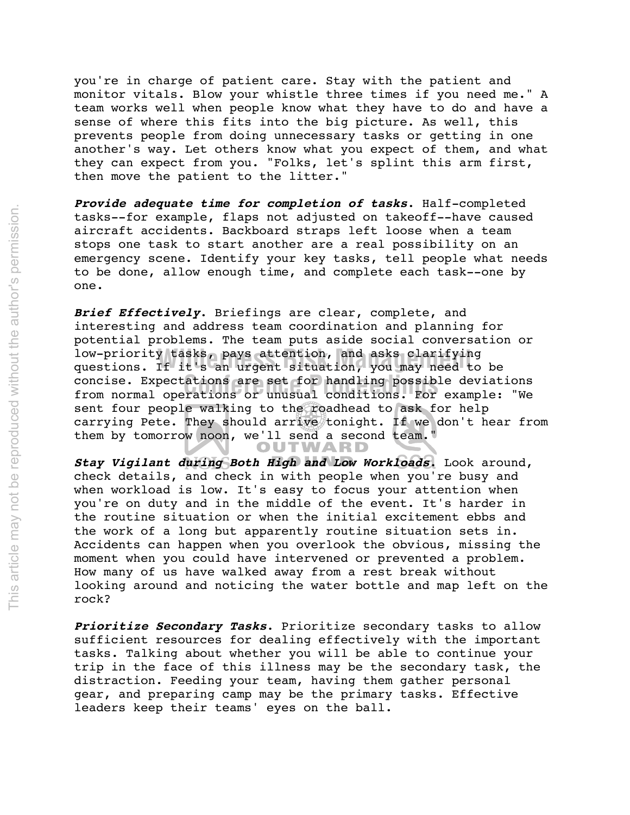you're in charge of patient care. Stay with the patient and monitor vitals. Blow your whistle three times if you need me." A team works well when people know what they have to do and have a sense of where this fits into the big picture. As well, this prevents people from doing unnecessary tasks or getting in one another's way. Let others know what you expect of them, and what they can expect from you. "Folks, let's splint this arm first, then move the patient to the litter."

**Provide adequate time for completion of tasks**. Half-completed tasks--for example, flaps not adjusted on takeoff--have caused aircraft accidents. Backboard straps left loose when a team stops one task to start another are a real possibility on an emergency scene. Identify your key tasks, tell people what needs to be done, allow enough time, and complete each task--one by one.

concise. Expectations are set for handling possible deviations<br>from normal operations or unusual conditions. For example: "We low-priority tasks, pays attention, and asks clarifying<br>questions. If it's an urgent situation, you may need to **Brief Effectively**. Briefings are clear, complete, and interesting and address team coordination and planning for potential problems. The team puts aside social conversation or questions. If it's an urgent situation, you may need to be from normal operations or unusual conditions. For example: "We sent four people walking to the roadhead to ask for help carrying Pete. They should arrive tonight. If we don't hear from them by tomorrow noon, we'll send a second team."

**Stay Vigilant during Both High and Low Workloads**. Look around, check details, and check in with people when you're busy and when workload is low. It's easy to focus your attention when you're on duty and in the middle of the event. It's harder in the routine situation or when the initial excitement ebbs and the work of a long but apparently routine situation sets in. Accidents can happen when you overlook the obvious, missing the moment when you could have intervened or prevented a problem. How many of us have walked away from a rest break without looking around and noticing the water bottle and map left on the rock?

**Prioritize Secondary Tasks**. Prioritize secondary tasks to allow sufficient resources for dealing effectively with the important tasks. Talking about whether you will be able to continue your trip in the face of this illness may be the secondary task, the distraction. Feeding your team, having them gather personal gear, and preparing camp may be the primary tasks. Effective leaders keep their teams' eyes on the ball.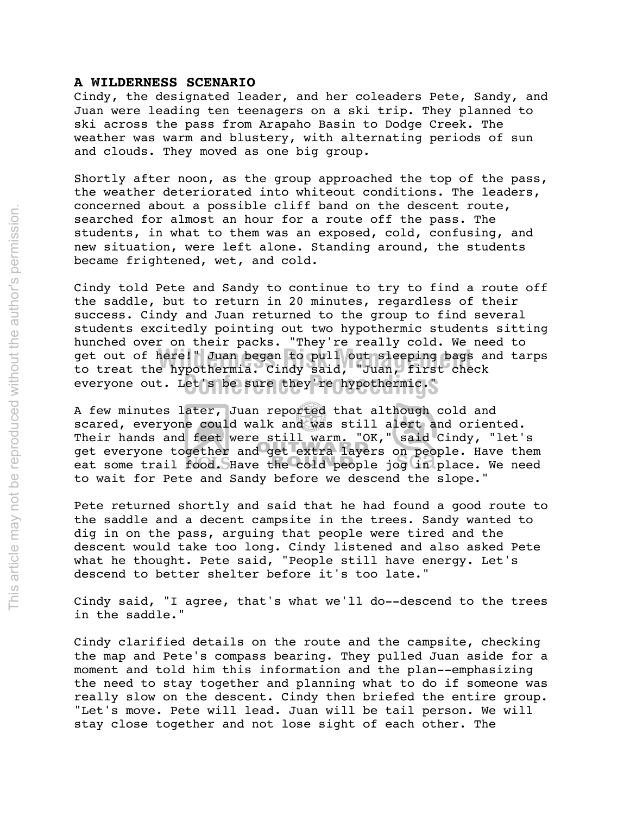#### **A WILDERNESS SCENARIO**

Cindy, the designated leader, and her coleaders Pete, Sandy, and Juan were leading ten teenagers on a ski trip. They planned to ski across the pass from Arapaho Basin to Dodge Creek. The weather was warm and blustery, with alternating periods of sun and clouds. They moved as one big group.

Shortly after noon, as the group approached the top of the pass, the weather deteriorated into whiteout conditions. The leaders, concerned about a possible cliff band on the descent route, searched for almost an hour for a route off the pass. The students, in what to them was an exposed, cold, confusing, and new situation, were left alone. Standing around, the students became frightened, wet, and cold.

everyone out. Let's be sure they're hypothermic." get out of here!" Juan began to pull out sleeping bags and tarps<br>to treat the hypothermia. Cindy said, "Juan, first check Cindy told Pete and Sandy to continue to try to find a route off the saddle, but to return in 20 minutes, regardless of their success. Cindy and Juan returned to the group to find several students excitedly pointing out two hypothermic students sitting hunched over on their packs. "They're really cold. We need to to treat the hypothermia. Cindy said, "Juan, first check

A few minutes later, Juan reported that although cold and scared, everyone could walk and was still alert and oriented. Their hands and feet were still warm. "OK," said Cindy, "let's get everyone together and get extra layers on people. Have them eat some trail food. Have the cold people jog in place. We need to wait for Pete and Sandy before we descend the slope."

Pete returned shortly and said that he had found a good route to the saddle and a decent campsite in the trees. Sandy wanted to dig in on the pass, arguing that people were tired and the descent would take too long. Cindy listened and also asked Pete what he thought. Pete said, "People still have energy. Let's descend to better shelter before it's too late."

Cindy said, "I agree, that's what we'll do--descend to the trees in the saddle."

Cindy clarified details on the route and the campsite, checking the map and Pete's compass bearing. They pulled Juan aside for a moment and told him this information and the plan--emphasizing the need to stay together and planning what to do if someone was really slow on the descent. Cindy then briefed the entire group. "Let's move. Pete will lead. Juan will be tail person. We will stay close together and not lose sight of each other. The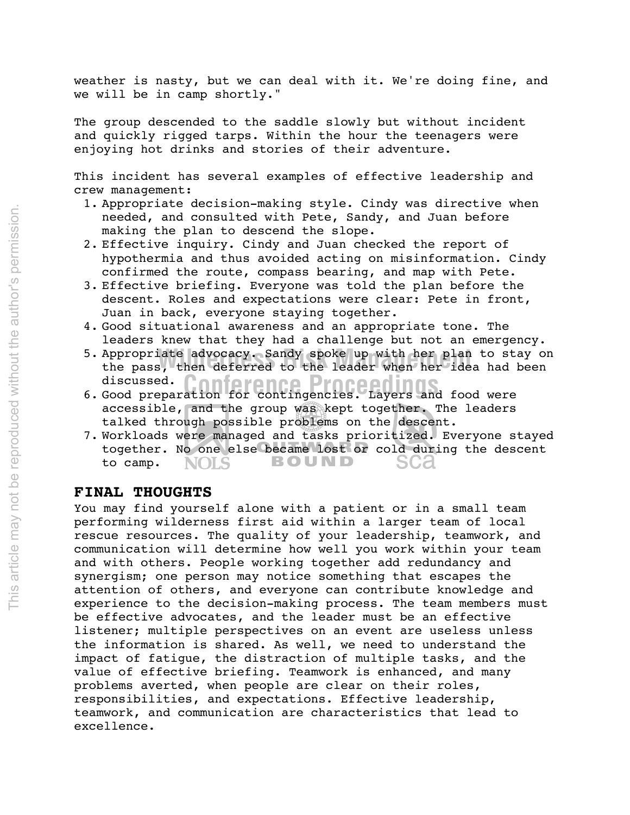weather is nasty, but we can deal with it. We're doing fine, and we will be in camp shortly."

The group descended to the saddle slowly but without incident and quickly rigged tarps. Within the hour the teenagers were enjoying hot drinks and stories of their adventure.

This incident has several examples of effective leadership and crew management:

- 1. Appropriate decision-making style. Cindy was directive when needed, and consulted with Pete, Sandy, and Juan before making the plan to descend the slope.
- 2. Effective inquiry. Cindy and Juan checked the report of hypothermia and thus avoided acting on misinformation. Cindy confirmed the route, compass bearing, and map with Pete.
- 3. Effective briefing. Everyone was told the plan before the descent. Roles and expectations were clear: Pete in front, Juan in back, everyone staying together.
- 4. Good situational awareness and an appropriate tone. The leaders knew that they had a challenge but not an emergency.
- discussed. **Conference Proceedings**<br>Good preparation for contingencies. Layers and 5. Appropriate advocacy. Sandy spoke up with her plan to stay on<br>the pass, then deferred to the leader when her idea had been the pass, then deferred to the leader when her idea had been
- 6. Good preparation for contingencies. Layers and food were accessible, and the group was kept together. The leaders talked through possible problems on the descent.
- 7. Workloads were managed and tasks prioritized. Everyone stayed together. No one else became lost or cold during the descent<br>to camp. NOIS BOUND SCA to camp. NOLS **NO** sca

## **FINAL THOUGHTS**

You may find yourself alone with a patient or in a small team performing wilderness first aid within a larger team of local rescue resources. The quality of your leadership, teamwork, and communication will determine how well you work within your team and with others. People working together add redundancy and synergism; one person may notice something that escapes the attention of others, and everyone can contribute knowledge and experience to the decision-making process. The team members must be effective advocates, and the leader must be an effective listener; multiple perspectives on an event are useless unless the information is shared. As well, we need to understand the impact of fatigue, the distraction of multiple tasks, and the value of effective briefing. Teamwork is enhanced, and many problems averted, when people are clear on their roles, responsibilities, and expectations. Effective leadership, teamwork, and communication are characteristics that lead to excellence.